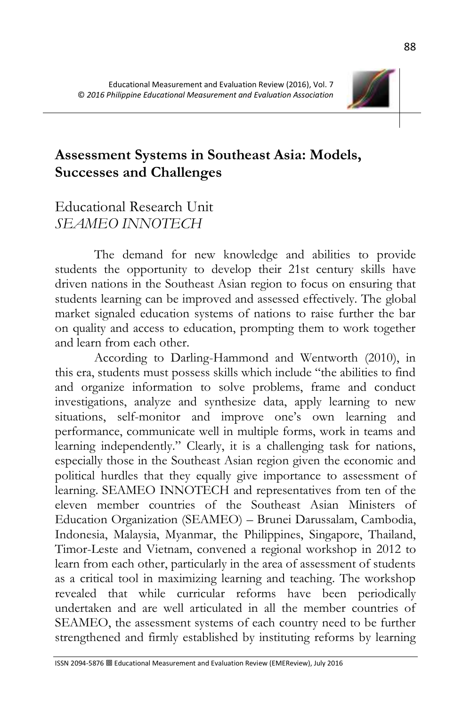

# **Assessment Systems in Southeast Asia: Models, Successes and Challenges**

## Educational Research Unit *SEAMEO INNOTECH*

The demand for new knowledge and abilities to provide students the opportunity to develop their 21st century skills have driven nations in the Southeast Asian region to focus on ensuring that students learning can be improved and assessed effectively. The global market signaled education systems of nations to raise further the bar on quality and access to education, prompting them to work together and learn from each other.

According to Darling-Hammond and Wentworth (2010), in this era, students must possess skills which include "the abilities to find and organize information to solve problems, frame and conduct investigations, analyze and synthesize data, apply learning to new situations, self-monitor and improve one's own learning and performance, communicate well in multiple forms, work in teams and learning independently." Clearly, it is a challenging task for nations, especially those in the Southeast Asian region given the economic and political hurdles that they equally give importance to assessment of learning. SEAMEO INNOTECH and representatives from ten of the eleven member countries of the Southeast Asian Ministers of Education Organization (SEAMEO) – Brunei Darussalam, Cambodia, Indonesia, Malaysia, Myanmar, the Philippines, Singapore, Thailand, Timor-Leste and Vietnam, convened a regional workshop in 2012 to learn from each other, particularly in the area of assessment of students as a critical tool in maximizing learning and teaching. The workshop revealed that while curricular reforms have been periodically undertaken and are well articulated in all the member countries of SEAMEO, the assessment systems of each country need to be further strengthened and firmly established by instituting reforms by learning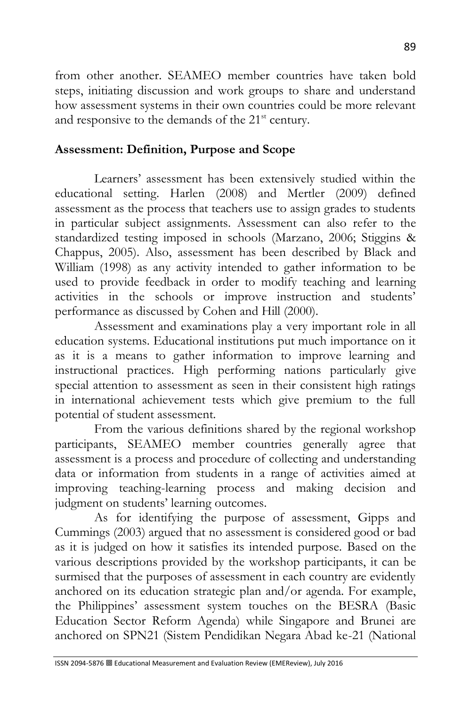from other another. SEAMEO member countries have taken bold steps, initiating discussion and work groups to share and understand how assessment systems in their own countries could be more relevant and responsive to the demands of the 21<sup>st</sup> century.

#### **Assessment: Definition, Purpose and Scope**

Learners' assessment has been extensively studied within the educational setting. Harlen (2008) and Mertler (2009) defined assessment as the process that teachers use to assign grades to students in particular subject assignments. Assessment can also refer to the standardized testing imposed in schools (Marzano, 2006; Stiggins & Chappus, 2005). Also, assessment has been described by Black and William (1998) as any activity intended to gather information to be used to provide feedback in order to modify teaching and learning activities in the schools or improve instruction and students' performance as discussed by Cohen and Hill (2000).

Assessment and examinations play a very important role in all education systems. Educational institutions put much importance on it as it is a means to gather information to improve learning and instructional practices. High performing nations particularly give special attention to assessment as seen in their consistent high ratings in international achievement tests which give premium to the full potential of student assessment.

From the various definitions shared by the regional workshop participants, SEAMEO member countries generally agree that assessment is a process and procedure of collecting and understanding data or information from students in a range of activities aimed at improving teaching-learning process and making decision and judgment on students' learning outcomes.

As for identifying the purpose of assessment, Gipps and Cummings (2003) argued that no assessment is considered good or bad as it is judged on how it satisfies its intended purpose. Based on the various descriptions provided by the workshop participants, it can be surmised that the purposes of assessment in each country are evidently anchored on its education strategic plan and/or agenda. For example, the Philippines' assessment system touches on the BESRA (Basic Education Sector Reform Agenda) while Singapore and Brunei are anchored on SPN21 (Sistem Pendidikan Negara Abad ke-21 (National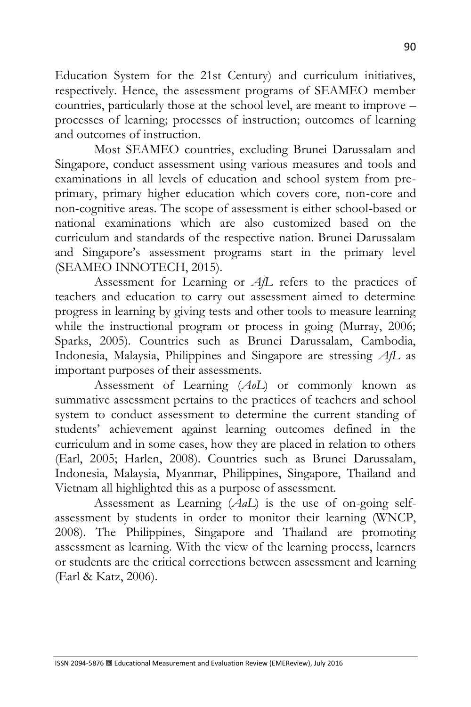Education System for the 21st Century) and curriculum initiatives, respectively. Hence, the assessment programs of SEAMEO member countries, particularly those at the school level, are meant to improve – processes of learning; processes of instruction; outcomes of learning and outcomes of instruction.

Most SEAMEO countries, excluding Brunei Darussalam and Singapore, conduct assessment using various measures and tools and examinations in all levels of education and school system from preprimary, primary higher education which covers core, non-core and non-cognitive areas. The scope of assessment is either school-based or national examinations which are also customized based on the curriculum and standards of the respective nation. Brunei Darussalam and Singapore's assessment programs start in the primary level (SEAMEO INNOTECH, 2015).

Assessment for Learning or *AfL* refers to the practices of teachers and education to carry out assessment aimed to determine progress in learning by giving tests and other tools to measure learning while the instructional program or process in going (Murray, 2006; Sparks, 2005). Countries such as Brunei Darussalam, Cambodia, Indonesia, Malaysia, Philippines and Singapore are stressing *AfL* as important purposes of their assessments.

Assessment of Learning (*AoL*) or commonly known as summative assessment pertains to the practices of teachers and school system to conduct assessment to determine the current standing of students' achievement against learning outcomes defined in the curriculum and in some cases, how they are placed in relation to others (Earl, 2005; Harlen, 2008). Countries such as Brunei Darussalam, Indonesia, Malaysia, Myanmar, Philippines, Singapore, Thailand and Vietnam all highlighted this as a purpose of assessment.

Assessment as Learning (*AaL*) is the use of on-going selfassessment by students in order to monitor their learning (WNCP, 2008). The Philippines, Singapore and Thailand are promoting assessment as learning. With the view of the learning process, learners or students are the critical corrections between assessment and learning (Earl & Katz, 2006).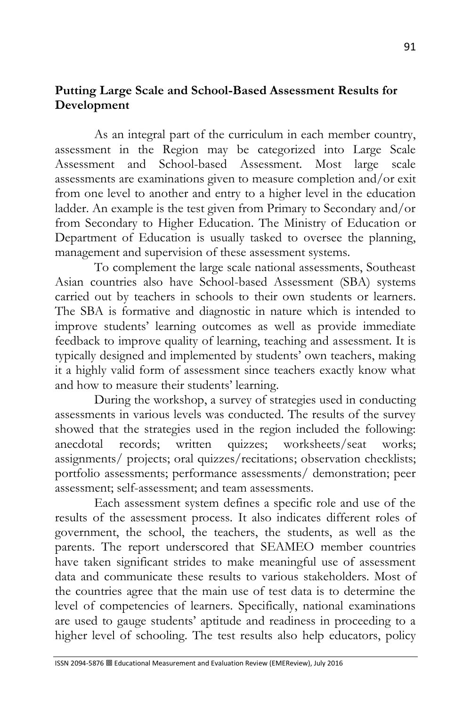#### **Putting Large Scale and School-Based Assessment Results for Development**

As an integral part of the curriculum in each member country, assessment in the Region may be categorized into Large Scale Assessment and School-based Assessment. Most large scale assessments are examinations given to measure completion and/or exit from one level to another and entry to a higher level in the education ladder. An example is the test given from Primary to Secondary and/or from Secondary to Higher Education. The Ministry of Education or Department of Education is usually tasked to oversee the planning, management and supervision of these assessment systems.

To complement the large scale national assessments, Southeast Asian countries also have School-based Assessment (SBA) systems carried out by teachers in schools to their own students or learners. The SBA is formative and diagnostic in nature which is intended to improve students' learning outcomes as well as provide immediate feedback to improve quality of learning, teaching and assessment. It is typically designed and implemented by students' own teachers, making it a highly valid form of assessment since teachers exactly know what and how to measure their students' learning.

During the workshop, a survey of strategies used in conducting assessments in various levels was conducted. The results of the survey showed that the strategies used in the region included the following: anecdotal records; written quizzes; worksheets/seat works; assignments/ projects; oral quizzes/recitations; observation checklists; portfolio assessments; performance assessments/ demonstration; peer assessment; self-assessment; and team assessments.

Each assessment system defines a specific role and use of the results of the assessment process. It also indicates different roles of government, the school, the teachers, the students, as well as the parents. The report underscored that SEAMEO member countries have taken significant strides to make meaningful use of assessment data and communicate these results to various stakeholders. Most of the countries agree that the main use of test data is to determine the level of competencies of learners. Specifically, national examinations are used to gauge students' aptitude and readiness in proceeding to a higher level of schooling. The test results also help educators, policy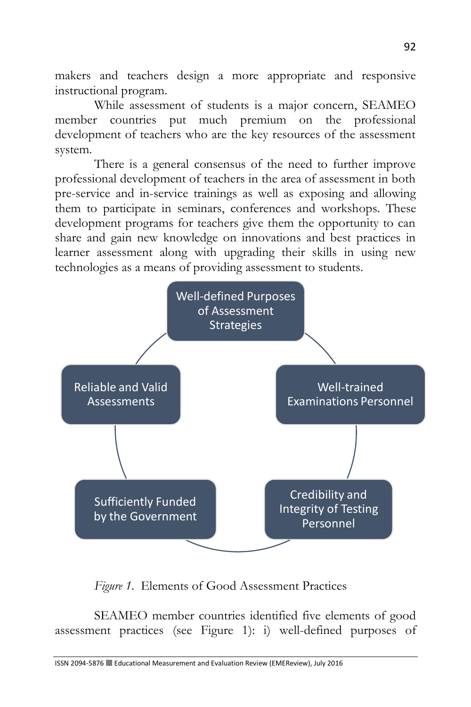makers and teachers design a more appropriate and responsive instructional program.

While assessment of students is a major concern, SEAMEO member countries put much premium on the professional development of teachers who are the key resources of the assessment system.

There is a general consensus of the need to further improve professional development of teachers in the area of assessment in both pre-service and in-service trainings as well as exposing and allowing them to participate in seminars, conferences and workshops. These development programs for teachers give them the opportunity to can share and gain new knowledge on innovations and best practices in learner assessment along with upgrading their skills in using new technologies as a means of providing assessment to students.



*Figure 1*. Elements of Good Assessment Practices

SEAMEO member countries identified five elements of good assessment practices (see Figure 1): i) well-defined purposes of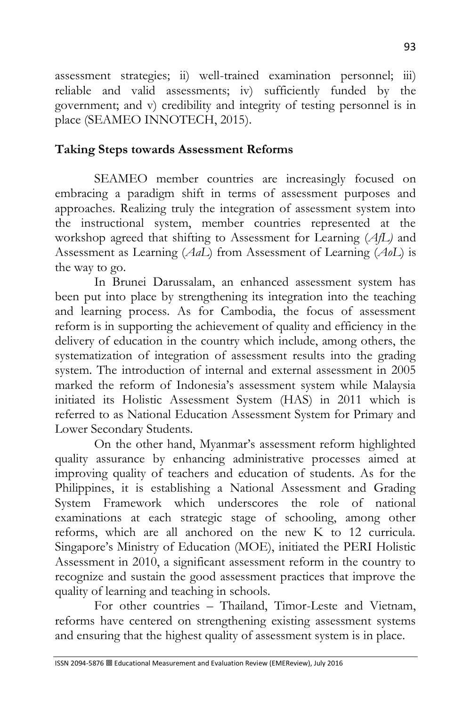assessment strategies; ii) well-trained examination personnel; iii) reliable and valid assessments; iv) sufficiently funded by the government; and v) credibility and integrity of testing personnel is in place (SEAMEO INNOTECH, 2015).

## **Taking Steps towards Assessment Reforms**

SEAMEO member countries are increasingly focused on embracing a paradigm shift in terms of assessment purposes and approaches. Realizing truly the integration of assessment system into the instructional system, member countries represented at the workshop agreed that shifting to Assessment for Learning (*AfL)* and Assessment as Learning (*AaL*) from Assessment of Learning (*AoL*) is the way to go.

In Brunei Darussalam, an enhanced assessment system has been put into place by strengthening its integration into the teaching and learning process. As for Cambodia, the focus of assessment reform is in supporting the achievement of quality and efficiency in the delivery of education in the country which include, among others, the systematization of integration of assessment results into the grading system. The introduction of internal and external assessment in 2005 marked the reform of Indonesia's assessment system while Malaysia initiated its Holistic Assessment System (HAS) in 2011 which is referred to as National Education Assessment System for Primary and Lower Secondary Students.

On the other hand, Myanmar's assessment reform highlighted quality assurance by enhancing administrative processes aimed at improving quality of teachers and education of students. As for the Philippines, it is establishing a National Assessment and Grading System Framework which underscores the role of national examinations at each strategic stage of schooling, among other reforms, which are all anchored on the new K to 12 curricula. Singapore's Ministry of Education (MOE), initiated the PERI Holistic Assessment in 2010, a significant assessment reform in the country to recognize and sustain the good assessment practices that improve the quality of learning and teaching in schools.

For other countries – Thailand, Timor-Leste and Vietnam, reforms have centered on strengthening existing assessment systems and ensuring that the highest quality of assessment system is in place.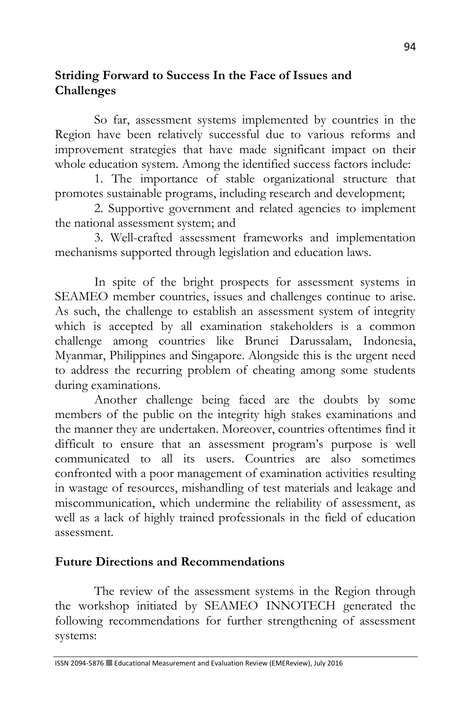## **Striding Forward to Success In the Face of Issues and Challenges**

So far, assessment systems implemented by countries in the Region have been relatively successful due to various reforms and improvement strategies that have made significant impact on their whole education system. Among the identified success factors include:

1. The importance of stable organizational structure that promotes sustainable programs, including research and development;

2. Supportive government and related agencies to implement the national assessment system; and

3. Well-crafted assessment frameworks and implementation mechanisms supported through legislation and education laws.

In spite of the bright prospects for assessment systems in SEAMEO member countries, issues and challenges continue to arise. As such, the challenge to establish an assessment system of integrity which is accepted by all examination stakeholders is a common challenge among countries like Brunei Darussalam, Indonesia, Myanmar, Philippines and Singapore. Alongside this is the urgent need to address the recurring problem of cheating among some students during examinations.

Another challenge being faced are the doubts by some members of the public on the integrity high stakes examinations and the manner they are undertaken. Moreover, countries oftentimes find it difficult to ensure that an assessment program's purpose is well communicated to all its users. Countries are also sometimes confronted with a poor management of examination activities resulting in wastage of resources, mishandling of test materials and leakage and miscommunication, which undermine the reliability of assessment, as well as a lack of highly trained professionals in the field of education assessment.

#### **Future Directions and Recommendations**

The review of the assessment systems in the Region through the workshop initiated by SEAMEO INNOTECH generated the following recommendations for further strengthening of assessment systems: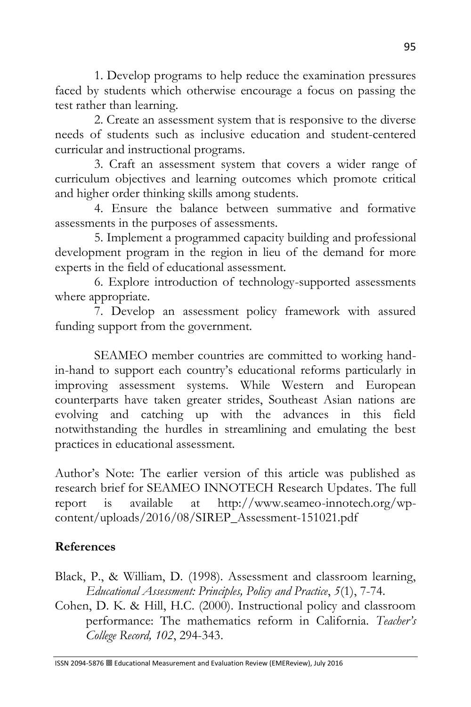1. Develop programs to help reduce the examination pressures faced by students which otherwise encourage a focus on passing the test rather than learning.

2. Create an assessment system that is responsive to the diverse needs of students such as inclusive education and student-centered curricular and instructional programs.

3. Craft an assessment system that covers a wider range of curriculum objectives and learning outcomes which promote critical and higher order thinking skills among students.

4. Ensure the balance between summative and formative assessments in the purposes of assessments.

5. Implement a programmed capacity building and professional development program in the region in lieu of the demand for more experts in the field of educational assessment.

6. Explore introduction of technology-supported assessments where appropriate.

7. Develop an assessment policy framework with assured funding support from the government.

SEAMEO member countries are committed to working handin-hand to support each country's educational reforms particularly in improving assessment systems. While Western and European counterparts have taken greater strides, Southeast Asian nations are evolving and catching up with the advances in this field notwithstanding the hurdles in streamlining and emulating the best practices in educational assessment.

Author's Note: The earlier version of this article was published as research brief for SEAMEO INNOTECH Research Updates. The full report is available at http://www.seameo-innotech.org/wpcontent/uploads/2016/08/SIREP\_Assessment-151021.pdf

### **References**

Black, P., & William, D. (1998). Assessment and classroom learning, *Educational Assessment: Principles, Policy and Practice*, *5*(1), 7-74.

Cohen, D. K. & Hill, H.C. (2000). Instructional policy and classroom performance: The mathematics reform in California. *Teacher's College Record, 102*, 294-343.